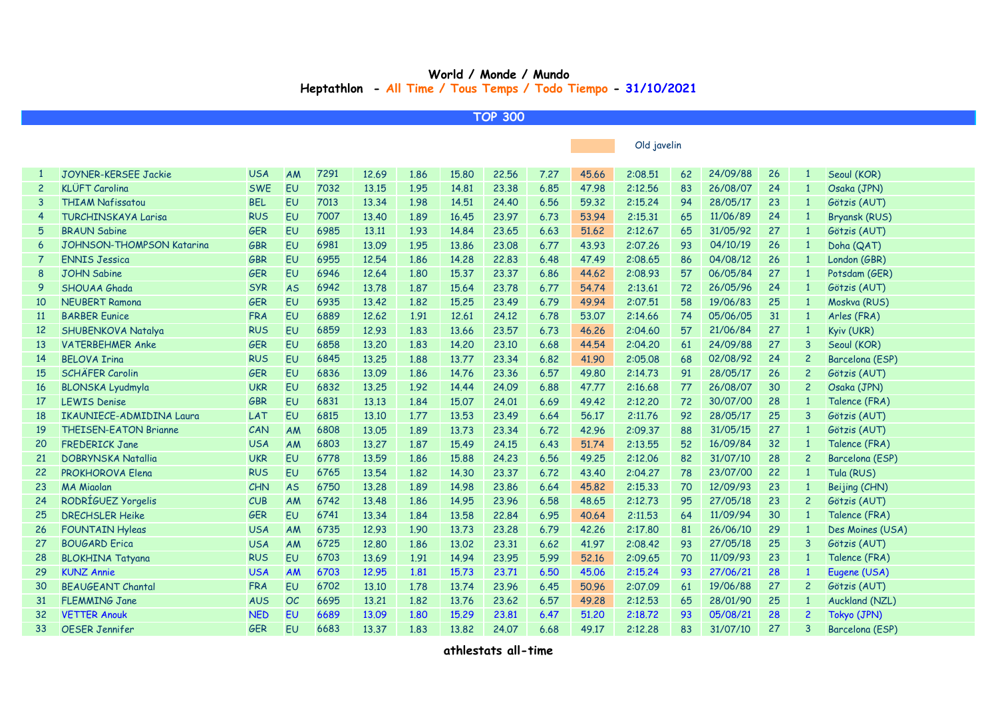## **World / Monde / Mundo Heptathlon - All Time / Tous Temps / Todo Tiempo - 31/10/2021**

**TOP 300**

|                |                                 |            |           |      |       |      |       |       |      |       | Old javelin |    |          |                 |                |                      |
|----------------|---------------------------------|------------|-----------|------|-------|------|-------|-------|------|-------|-------------|----|----------|-----------------|----------------|----------------------|
|                |                                 |            |           |      |       |      |       |       |      |       |             |    |          |                 |                |                      |
|                | <b>JOYNER-KERSEE Jackie</b>     | <b>USA</b> | AM        | 7291 | 12.69 | 1.86 | 15,80 | 22,56 | 7.27 | 45.66 | 2:08.51     | 62 | 24/09/88 | 26              | -1             | Seoul (KOR)          |
| $\overline{c}$ | <b>KLÜFT Carolina</b>           | <b>SWE</b> | EU        | 7032 | 13.15 | 1.95 | 14,81 | 23.38 | 6.85 | 47.98 | 2:12.56     | 83 | 26/08/07 | 24              | $\mathbf{1}$   | Osaka (JPN)          |
|                | <b>THIAM Nafissatou</b>         | <b>BEL</b> | EU        | 7013 | 13.34 | 1.98 | 14.51 | 24.40 | 6.56 | 59.32 | 2:15.24     | 94 | 28/05/17 | 23              | $\mathbf{1}$   | Götzis (AUT)         |
| 4              | <b>TURCHINSKAYA Larisa</b>      | <b>RUS</b> | EU        | 7007 | 13,40 | 1.89 | 16.45 | 23.97 | 6.73 | 53.94 | 2:15.31     | 65 | 11/06/89 | 24              | $\mathbf{1}$   | <b>Bryansk (RUS)</b> |
| 5              | <b>BRAUN Sabine</b>             | <b>GER</b> | EU        | 6985 | 13.11 | 1.93 | 14.84 | 23.65 | 6.63 | 51.62 | 2:12.67     | 65 | 31/05/92 | 27              | $\mathbf{1}$   | Götzis (AUT)         |
| 6              | JOHNSON-THOMPSON Katarina       | GBR        | EU        | 6981 | 13.09 | 1.95 | 13.86 | 23.08 | 6.77 | 43.93 | 2:07.26     | 93 | 04/10/19 | 26              | $\mathbf{1}$   | Doha (QAT)           |
|                | <b>ENNIS Jessica</b>            | <b>GBR</b> | <b>EU</b> | 6955 | 12.54 | 1.86 | 14.28 | 22.83 | 6.48 | 47.49 | 2:08.65     | 86 | 04/08/12 | 26              | $\mathbf{1}$   | London (GBR)         |
| 8              | <b>JOHN Sabine</b>              | <b>GER</b> | <b>EU</b> | 6946 | 12.64 | 1.80 | 15,37 | 23,37 | 6.86 | 44.62 | 2:08.93     | 57 | 06/05/84 | 27              | $\mathbf{1}$   | Potsdam (GER)        |
| 9              | <b>SHOUAA Ghada</b>             | <b>SYR</b> | <b>AS</b> | 6942 | 13.78 | 1.87 | 15.64 | 23.78 | 6.77 | 54.74 | 2:13.61     | 72 | 26/05/96 | 24              | $\mathbf{1}$   | Götzis (AUT)         |
| 10             | <b>NEUBERT Ramona</b>           | <b>GER</b> | EU        | 6935 | 13.42 | 1.82 | 15,25 | 23.49 | 6.79 | 49.94 | 2:07.51     | 58 | 19/06/83 | 25              | 1              | Moskva (RUS)         |
| <b>11</b>      | <b>BARBER Eunice</b>            | <b>FRA</b> | EU        | 6889 | 12.62 | 1.91 | 12.61 | 24.12 | 6.78 | 53,07 | 2:14.66     | 74 | 05/06/05 | 31              | $\overline{1}$ | Arles (FRA)          |
| 12             | SHUBENKOVA Natalya              | <b>RUS</b> | EU        | 6859 | 12.93 | 1.83 | 13.66 | 23.57 | 6.73 | 46.26 | 2:04.60     | 57 | 21/06/84 | 27              | $\mathbf{1}$   | Kyiv (UKR)           |
| 13             | <b>VATERBEHMER Anke</b>         | <b>GER</b> | <b>EU</b> | 6858 | 13.20 | 1.83 | 14.20 | 23.10 | 6.68 | 44.54 | 2:04.20     | 61 | 24/09/88 | 27              | 3              | Seoul (KOR)          |
| 14             | <b>BFLOVA Iring</b>             | <b>RUS</b> | EU        | 6845 | 13.25 | 1.88 | 13.77 | 23.34 | 6.82 | 41.90 | 2:05.08     | 68 | 02/08/92 | 24              | $\overline{c}$ | Barcelona (ESP)      |
| 15             | <b>SCHÄFER Carolin</b>          | <b>GER</b> | <b>EU</b> | 6836 | 13.09 | 1.86 | 14.76 | 23.36 | 6.57 | 49.80 | 2:14.73     | 91 | 28/05/17 | 26              | $\overline{c}$ | Götzis (AUT)         |
| 16             | <b>BLONSKA Lyudmyla</b>         | <b>UKR</b> | EU        | 6832 | 13.25 | 1.92 | 14.44 | 24.09 | 6.88 | 47.77 | 2:16.68     | 77 | 26/08/07 | 30              | $\overline{2}$ | Osaka (JPN)          |
| 17             | <b>LEWIS Denise</b>             | GBR        | EU        | 6831 | 13.13 | 1.84 | 15.07 | 24.01 | 6.69 | 49.42 | 2:12.20     | 72 | 30/07/00 | 28              | $\overline{1}$ | Talence (FRA)        |
| 18             | <b>IKAUNIECE-ADMIDINA Laura</b> | LAT        | <b>EU</b> | 6815 | 13.10 | 1.77 | 13.53 | 23.49 | 6.64 | 56.17 | 2:11.76     | 92 | 28/05/17 | 25              | 3              | Götzis (AUT)         |
| 19             | <b>THEISEN-EATON Brianne</b>    | CAN        | AM        | 6808 | 13,05 | 1.89 | 13.73 | 23,34 | 6.72 | 42.96 | 2:09.37     | 88 | 31/05/15 | 27              | $\mathbf{1}$   | Götzis (AUT)         |
| 20             | <b>FREDERICK Jane</b>           | <b>USA</b> | AM        | 6803 | 13,27 | 1.87 | 15.49 | 24.15 | 6.43 | 51,74 | 2:13.55     | 52 | 16/09/84 | 32 <sub>2</sub> | $\mathbf{1}$   | Talence (FRA)        |
| 21             | <b>DOBRYNSKA Natallia</b>       | <b>UKR</b> | <b>EU</b> | 6778 | 13.59 | 1.86 | 15,88 | 24,23 | 6.56 | 49.25 | 2:12.06     | 82 | 31/07/10 | 28              | $\overline{c}$ | Barcelona (ESP)      |
| 22             | <b>PROKHOROVA Elena</b>         | <b>RUS</b> | EU        | 6765 | 13.54 | 1.82 | 14.30 | 23.37 | 6.72 | 43.40 | 2:04.27     | 78 | 23/07/00 | 22              | $\mathbf{1}$   | Tula (RUS)           |
| 23             | <b>MA Miaolan</b>               | <b>CHN</b> | <b>AS</b> | 6750 | 13.28 | 1.89 | 14.98 | 23,86 | 6.64 | 45.82 | 2:15.33     | 70 | 12/09/93 | 23              | $\mathbf{1}$   | Beijing (CHN)        |
| 24             | RODRÍGUEZ Yorgelis              | CUB        | AM        | 6742 | 13.48 | 1.86 | 14.95 | 23.96 | 6.58 | 48.65 | 2:12.73     | 95 | 27/05/18 | 23              | $\overline{c}$ | Götzis (AUT)         |
| 25             | <b>DRECHSLER Heike</b>          | <b>GER</b> | <b>EU</b> | 6741 | 13.34 | 1.84 | 13.58 | 22.84 | 6.95 | 40.64 | 2:11.53     | 64 | 11/09/94 | 30              | $\overline{1}$ | Talence (FRA)        |
| 26             | <b>FOUNTAIN Hyleas</b>          | <b>USA</b> | <b>AM</b> | 6735 | 12.93 | 1.90 | 13.73 | 23.28 | 6.79 | 42.26 | 2:17.80     | 81 | 26/06/10 | 29              | $\mathbf{1}$   | Des Moines (USA)     |
| 27             | <b>BOUGARD Erica</b>            | <b>USA</b> | <b>AM</b> | 6725 | 12,80 | 1.86 | 13,02 | 23,31 | 6.62 | 41.97 | 2:08.42     | 93 | 27/05/18 | 25              | 3              | Götzis (AUT)         |
| 28             | <b>BLOKHINA Tatyana</b>         | <b>RUS</b> | EU        | 6703 | 13.69 | 1.91 | 14.94 | 23.95 | 5.99 | 52,16 | 2:09.65     | 70 | 11/09/93 | 23              | $\overline{1}$ | Talence (FRA)        |
| 29             | <b>KUNZ Annie</b>               | <b>USA</b> | AM        | 6703 | 12.95 | 1.81 | 15.73 | 23.71 | 6.50 | 45,06 | 2:15.24     | 93 | 27/06/21 | 28              | $\mathbf{1}$   | Eugene (USA)         |
| 30             | <b>BEAUGEANT Chantal</b>        | <b>FRA</b> | <b>EU</b> | 6702 | 13.10 | 1.78 | 13,74 | 23.96 | 6.45 | 50.96 | 2:07.09     | 61 | 19/06/88 | 27              | $\overline{c}$ | Götzis (AUT)         |
| 31             | <b>FLEMMING Jane</b>            | <b>AUS</b> | OC        | 6695 | 13,21 | 1.82 | 13.76 | 23,62 | 6.57 | 49.28 | 2:12.53     | 65 | 28/01/90 | 25              | $\mathbf{1}$   | Auckland (NZL)       |
| 32             | <b>VETTER Anouk</b>             | <b>NED</b> | EU        | 6689 | 13.09 | 1.80 | 15,29 | 23,81 | 6.47 | 51.20 | 2:18.72     | 93 | 05/08/21 | 28              | $\overline{c}$ | Tokyo (JPN)          |
| 33             | <b>OESER Jennifer</b>           | <b>GER</b> | <b>EU</b> | 6683 | 13.37 | 1.83 | 13.82 | 24.07 | 6.68 | 49.17 | 2:12.28     | 83 | 31/07/10 | 27              | 3              | Barcelona (ESP)      |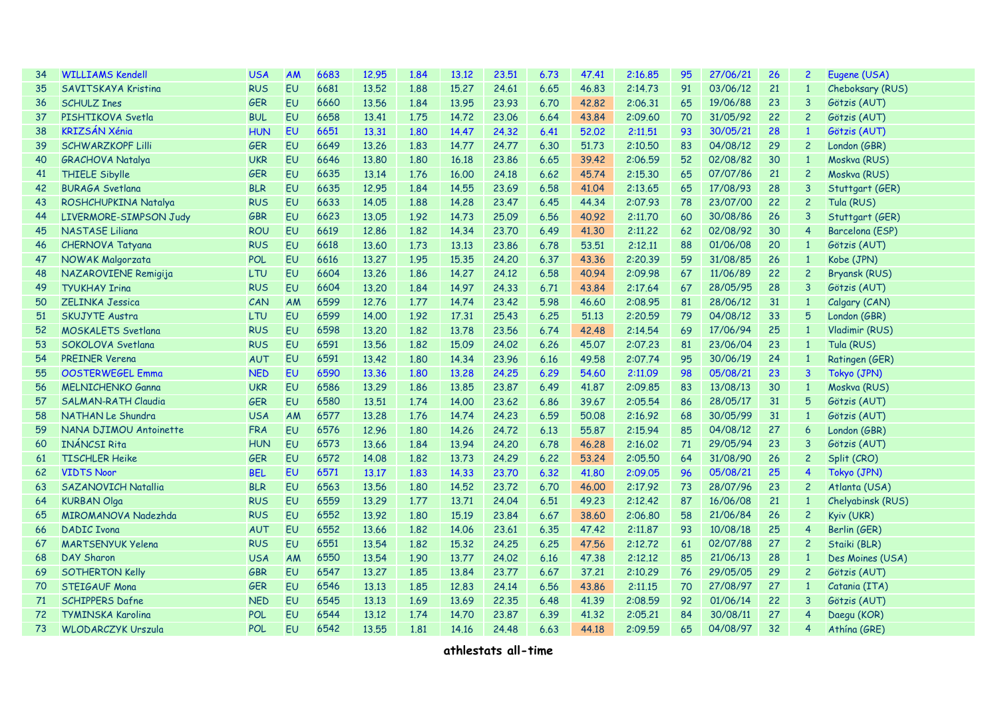| 34 | <b>WILLIAMS Kendell</b>    | <b>USA</b> | AM        | 6683 | 12.95 | 1.84 | 13.12 | 23.51 | 6.73 | 47.41 | 2:16.85 | 95 | 27/06/21 | 26 | $\overline{c}$ | Eugene (USA)         |
|----|----------------------------|------------|-----------|------|-------|------|-------|-------|------|-------|---------|----|----------|----|----------------|----------------------|
| 35 | <b>SAVITSKAYA Kristina</b> | <b>RUS</b> | <b>EU</b> | 6681 | 13.52 | 1.88 | 15.27 | 24.61 | 6.65 | 46.83 | 2:14.73 | 91 | 03/06/12 | 21 | $\mathbf{1}$   | Cheboksary (RUS)     |
| 36 | <b>SCHULZ Ines</b>         | GER        | EU        | 6660 | 13.56 | 1.84 | 13.95 | 23.93 | 6.70 | 42,82 | 2:06.31 | 65 | 19/06/88 | 23 | 3              | Götzis (AUT)         |
| 37 | PISHTIKOVA Svetla          | <b>BUL</b> | EU        | 6658 | 13.41 | 1.75 | 14.72 | 23,06 | 6.64 | 43.84 | 2:09.60 | 70 | 31/05/92 | 22 | $\overline{c}$ | Götzis (AUT)         |
| 38 | <b>KRIZSÁN Xénia</b>       | <b>HUN</b> | EU        | 6651 | 13.31 | 1.80 | 14.47 | 24.32 | 6.41 | 52.02 | 2:11,51 | 93 | 30/05/21 | 28 | $\mathbf{1}$   | Götzis (AUT)         |
| 39 | <b>SCHWARZKOPF Lilli</b>   | GER        | EU        | 6649 | 13.26 | 1.83 | 14,77 | 24,77 | 6.30 | 51.73 | 2:10,50 | 83 | 04/08/12 | 29 | $\overline{c}$ | London (GBR)         |
| 40 | <b>GRACHOVA Natalya</b>    | <b>UKR</b> | EU        | 6646 | 13.80 | 1.80 | 16.18 | 23,86 | 6.65 | 39.42 | 2:06.59 | 52 | 02/08/82 | 30 | $\mathbf{1}$   | Moskva (RUS)         |
| 41 | <b>THIELE Sibylle</b>      | GER        | EU        | 6635 | 13.14 | 1.76 | 16.00 | 24.18 | 6.62 | 45.74 | 2:15.30 | 65 | 07/07/86 | 21 | $\overline{c}$ | Moskva (RUS)         |
| 42 | <b>BURAGA Svetland</b>     | <b>BLR</b> | EU        | 6635 | 12.95 | 1.84 | 14.55 | 23.69 | 6.58 | 41.04 | 2:13.65 | 65 | 17/08/93 | 28 | 3              | Stuttgart (GER)      |
| 43 | ROSHCHUPKINA Natalya       | <b>RUS</b> | EU        | 6633 | 14.05 | 1.88 | 14,28 | 23.47 | 6.45 | 44.34 | 2:07.93 | 78 | 23/07/00 | 22 | $\overline{c}$ | Tula (RUS)           |
| 44 | LIVERMORE-SIMPSON Judy     | GBR        | EU        | 6623 | 13,05 | 1.92 | 14.73 | 25,09 | 6.56 | 40.92 | 2:11,70 | 60 | 30/08/86 | 26 | 3              | Stuttgart (GER)      |
| 45 | <b>NASTASE Liliana</b>     | <b>ROU</b> | EU        | 6619 | 12,86 | 1.82 | 14.34 | 23,70 | 6.49 | 41,30 | 2:11,22 | 62 | 02/08/92 | 30 | 4              | Barcelona (ESP)      |
| 46 | <b>CHERNOVA Tatyana</b>    | <b>RUS</b> | EU        | 6618 | 13.60 | 1.73 | 13.13 | 23.86 | 6.78 | 53.51 | 2:12.11 | 88 | 01/06/08 | 20 | $\mathbf{1}$   | Götzis (AUT)         |
| 47 | NOWAK Malgorzata           | POL        | EU        | 6616 | 13,27 | 1.95 | 15,35 | 24,20 | 6.37 | 43.36 | 2:20.39 | 59 | 31/08/85 | 26 | $\mathbf{1}$   | Kobe (JPN)           |
| 48 | NAZAROVIENE Remigija       | LTU        | EU        | 6604 | 13.26 | 1.86 | 14.27 | 24.12 | 6.58 | 40.94 | 2:09.98 | 67 | 11/06/89 | 22 | $\overline{c}$ | <b>Bryansk (RUS)</b> |
| 49 | <b>TYUKHAY Iring</b>       | <b>RUS</b> | EU        | 6604 | 13.20 | 1.84 | 14.97 | 24.33 | 6.71 | 43.84 | 2:17.64 | 67 | 28/05/95 | 28 | 3              | Götzis (AUT)         |
| 50 | <b>ZFLINKA Jessica</b>     | CAN        | AM        | 6599 | 12.76 | 1.77 | 14.74 | 23,42 | 5.98 | 46.60 | 2:08.95 | 81 | 28/06/12 | 31 | $\mathbf{1}$   | Calgary (CAN)        |
| 51 | <b>SKUJYTE Austra</b>      | LTU        | EU        | 6599 | 14,00 | 1.92 | 17.31 | 25.43 | 6.25 | 51.13 | 2:20.59 | 79 | 04/08/12 | 33 | 5              | London (GBR)         |
| 52 | <b>MOSKALETS Svetlana</b>  | <b>RUS</b> | EU        | 6598 | 13,20 | 1.82 | 13,78 | 23.56 | 6.74 | 42,48 | 2:14.54 | 69 | 17/06/94 | 25 | $\mathbf{1}$   | Vladimir (RUS)       |
| 53 | SOKOLOVA Svetlana          | <b>RUS</b> | EU        | 6591 | 13.56 | 1.82 | 15.09 | 24,02 | 6.26 | 45,07 | 2:07.23 | 81 | 23/06/04 | 23 | $\overline{1}$ | Tula (RUS)           |
| 54 | <b>PREINER Verena</b>      | <b>AUT</b> | EU        | 6591 | 13.42 | 1.80 | 14.34 | 23.96 | 6.16 | 49.58 | 2:07.74 | 95 | 30/06/19 | 24 | $\overline{1}$ | Ratingen (GER)       |
| 55 | <b>OOSTERWEGEL Emma</b>    | <b>NED</b> | <b>EU</b> | 6590 | 13.36 | 1.80 | 13,28 | 24.25 | 6.29 | 54.60 | 2:11.09 | 98 | 05/08/21 | 23 | 3              | Tokyo (JPN)          |
| 56 | <b>MELNICHENKO Ganna</b>   | <b>UKR</b> | EU        | 6586 | 13.29 | 1.86 | 13,85 | 23.87 | 6.49 | 41.87 | 2:09.85 | 83 | 13/08/13 | 30 | $\overline{1}$ | Moskva (RUS)         |
| 57 | <b>SALMAN-RATH Claudia</b> | GER        | EU        | 6580 | 13.51 | 1.74 | 14.00 | 23,62 | 6.86 | 39.67 | 2:05.54 | 86 | 28/05/17 | 31 | 5              | Götzis (AUT)         |
| 58 | NATHAN Le Shundra          | <b>USA</b> | AM        | 6577 | 13,28 | 1.76 | 14.74 | 24,23 | 6.59 | 50,08 | 2:16.92 | 68 | 30/05/99 | 31 | $\mathbf{1}$   | Götzis (AUT)         |
| 59 | NANA DJIMOU Antoinette     | <b>FRA</b> | EU        | 6576 | 12.96 | 1.80 | 14.26 | 24,72 | 6.13 | 55,87 | 2:15.94 | 85 | 04/08/12 | 27 | 6              | London (GBR)         |
| 60 | <b>INÁNCSI Rita</b>        | <b>HUN</b> | EU        | 6573 | 13.66 | 1.84 | 13.94 | 24,20 | 6.78 | 46,28 | 2:16.02 | 71 | 29/05/94 | 23 | 3              | Götzis (AUT)         |
| 61 | <b>TISCHLER Heike</b>      | <b>GER</b> | EU        | 6572 | 14.08 | 1.82 | 13.73 | 24.29 | 6.22 | 53.24 | 2:05.50 | 64 | 31/08/90 | 26 | $\overline{c}$ | Split (CRO)          |
| 62 | <b>VIDTS Noor</b>          | <b>BEL</b> | EU        | 6571 | 13.17 | 1.83 | 14.33 | 23.70 | 6.32 | 41.80 | 2:09.05 | 96 | 05/08/21 | 25 | 4              | Tokyo (JPN)          |
| 63 | <b>SAZANOVICH Natallia</b> | <b>BLR</b> | EU        | 6563 | 13.56 | 1.80 | 14.52 | 23.72 | 6.70 | 46.00 | 2:17.92 | 73 | 28/07/96 | 23 | $\overline{c}$ | Atlanta (USA)        |
| 64 | <b>KURBAN Olga</b>         | <b>RUS</b> | EU        | 6559 | 13.29 | 1.77 | 13.71 | 24.04 | 6.51 | 49.23 | 2:12,42 | 87 | 16/06/08 | 21 | $\overline{1}$ | Chelyabinsk (RUS)    |
| 65 | <b>MIROMANOVA Nadezhda</b> | <b>RUS</b> | EU        | 6552 | 13.92 | 1.80 | 15.19 | 23,84 | 6.67 | 38,60 | 2:06.80 | 58 | 21/06/84 | 26 | $\overline{c}$ | Kyiv (UKR)           |
| 66 | <b>DADIC Ivona</b>         | <b>AUT</b> | EU        | 6552 | 13.66 | 1,82 | 14.06 | 23,61 | 6.35 | 47.42 | 2:11.87 | 93 | 10/08/18 | 25 | 4              | Berlin (GER)         |
| 67 | <b>MARTSENYUK Yelena</b>   | <b>RUS</b> | EU        | 6551 | 13.54 | 1.82 | 15,32 | 24.25 | 6.25 | 47.56 | 2:12.72 | 61 | 02/07/88 | 27 | $\overline{c}$ | Staiki (BLR)         |
| 68 | <b>DAY Sharon</b>          | <b>USA</b> | AM        | 6550 | 13.54 | 1.90 | 13,77 | 24.02 | 6.16 | 47.38 | 2:12.12 | 85 | 21/06/13 | 28 | $\overline{1}$ | Des Moines (USA)     |
| 69 | <b>SOTHERTON Kelly</b>     | GBR        | EU        | 6547 | 13,27 | 1.85 | 13,84 | 23,77 | 6.67 | 37.21 | 2:10.29 | 76 | 29/05/05 | 29 | $\overline{c}$ | Götzis (AUT)         |
| 70 | <b>STEIGAUF Mona</b>       | GER        | EU        | 6546 | 13.13 | 1.85 | 12.83 | 24.14 | 6.56 | 43.86 | 2:11.15 | 70 | 27/08/97 | 27 | $\mathbf{1}$   | Catania (ITA)        |
| 71 | <b>SCHIPPERS Dafne</b>     | <b>NED</b> | <b>EU</b> | 6545 | 13.13 | 1.69 | 13.69 | 22.35 | 6.48 | 41.39 | 2:08.59 | 92 | 01/06/14 | 22 | 3              | Götzis (AUT)         |
| 72 | <b>TYMINSKA Karolina</b>   | POL        | EU        | 6544 | 13.12 | 1.74 | 14.70 | 23,87 | 6.39 | 41.32 | 2:05.21 | 84 | 30/08/11 | 27 | 4              | Daegu (KOR)          |
| 73 | <b>WLODARCZYK Urszula</b>  | POL        | EU        | 6542 | 13.55 | 1.81 | 14.16 | 24,48 | 6.63 | 44.18 | 2:09.59 | 65 | 04/08/97 | 32 | 4              | Athína (GRE)         |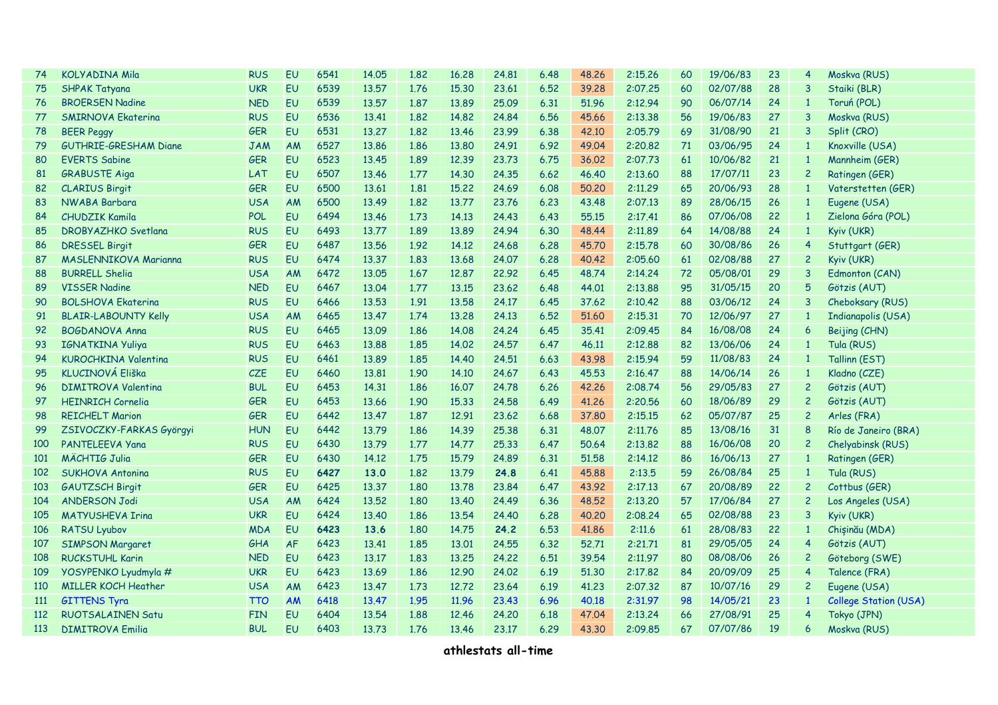| 74         | <b>KOLYADINA Mila</b>        | <b>RUS</b> | <b>EU</b> | 6541 | 14.05 | 1.82 | 16.28 | 24.81 | 6.48 | 48.26 | 2:15.26 | 60 | 19/06/83 | 23 | 4              | Moskva (RUS)                 |
|------------|------------------------------|------------|-----------|------|-------|------|-------|-------|------|-------|---------|----|----------|----|----------------|------------------------------|
| 75         | <b>SHPAK Tatyana</b>         | <b>UKR</b> | <b>EU</b> | 6539 | 13.57 | 1.76 | 15.30 | 23.61 | 6.52 | 39.28 | 2:07.25 | 60 | 02/07/88 | 28 | 3              | Staiki (BLR)                 |
| 76         | <b>BROERSEN Nadine</b>       | <b>NED</b> | EU        | 6539 | 13.57 | 1.87 | 13.89 | 25.09 | 6.31 | 51.96 | 2:12.94 | 90 | 06/07/14 | 24 | $\mathbf{1}$   | Toruń (POL)                  |
| 77         | <b>SMIRNOVA Ekaterina</b>    | <b>RUS</b> | EU        | 6536 | 13.41 | 1.82 | 14.82 | 24.84 | 6.56 | 45.66 | 2:13.38 | 56 | 19/06/83 | 27 | 3              | Moskva (RUS)                 |
| 78         | <b>BEER Peggy</b>            | GER        | EU        | 6531 | 13.27 | 1.82 | 13.46 | 23.99 | 6.38 | 42,10 | 2:05.79 | 69 | 31/08/90 | 21 | 3              | Split (CRO)                  |
| 79         | <b>GUTHRIE-GRESHAM Diane</b> | <b>JAM</b> | AM        | 6527 | 13.86 | 1.86 | 13,80 | 24.91 | 6.92 | 49.04 | 2:20.82 | 71 | 03/06/95 | 24 | $\overline{1}$ | Knoxville (USA)              |
| 80         | <b>EVERTS Sabine</b>         | GER        | EU        | 6523 | 13.45 | 1.89 | 12.39 | 23.73 | 6.75 | 36.02 | 2:07.73 | 61 | 10/06/82 | 21 | $\mathbf{1}$   | Mannheim (GER)               |
| 81         | <b>GRABUSTE Aiga</b>         | LAT        | <b>EU</b> | 6507 | 13.46 | 1.77 | 14,30 | 24,35 | 6.62 | 46,40 | 2:13,60 | 88 | 17/07/11 | 23 | $\overline{c}$ | Ratingen (GER)               |
| 82         | <b>CLARIUS Birgit</b>        | <b>GER</b> | <b>EU</b> | 6500 | 13.61 | 1.81 | 15.22 | 24.69 | 6.08 | 50.20 | 2:11,29 | 65 | 20/06/93 | 28 | $\mathbf{1}$   | Vaterstetten (GER)           |
| 83         | NWABA Barbara                | <b>USA</b> | AM        | 6500 | 13.49 | 1.82 | 13,77 | 23.76 | 6.23 | 43.48 | 2:07.13 | 89 | 28/06/15 | 26 | $\mathbf{1}$   | Eugene (USA)                 |
| 84         | <b>CHUDZIK Kamila</b>        | POL        | <b>EU</b> | 6494 | 13.46 | 1.73 | 14.13 | 24.43 | 6.43 | 55.15 | 2:17,41 | 86 | 07/06/08 | 22 | $\mathbf{1}$   | Zielona Góra (POL)           |
| 85         | <b>DROBYAZHKO Svetlana</b>   | <b>RUS</b> | <b>EU</b> | 6493 | 13.77 | 1.89 | 13.89 | 24.94 | 6.30 | 48.44 | 2:11.89 | 64 | 14/08/88 | 24 | $\mathbf{1}$   | Kyiv (UKR)                   |
| 86         | <b>DRESSEL Birgit</b>        | GER        | <b>EU</b> | 6487 | 13.56 | 1.92 | 14.12 | 24.68 | 6.28 | 45.70 | 2:15.78 | 60 | 30/08/86 | 26 | 4              | Stuttgart (GER)              |
| 87         | <b>MASLENNIKOVA Marianna</b> | <b>RUS</b> | <b>EU</b> | 6474 | 13.37 | 1.83 | 13.68 | 24.07 | 6.28 | 40.42 | 2:05.60 | 61 | 02/08/88 | 27 | $\overline{c}$ | Kyiv (UKR)                   |
| 88         | <b>BURRELL Shelia</b>        | <b>USA</b> | AM        | 6472 | 13.05 | 1.67 | 12,87 | 22.92 | 6.45 | 48.74 | 2:14.24 | 72 | 05/08/01 | 29 | 3              | Edmonton (CAN)               |
| 89         | <b>VISSER Nadine</b>         | <b>NED</b> | EU        | 6467 | 13.04 | 1.77 | 13,15 | 23,62 | 6.48 | 44.01 | 2:13.88 | 95 | 31/05/15 | 20 | 5              | Götzis (AUT)                 |
| 90         | <b>BOLSHOVA Ekaterina</b>    | <b>RUS</b> | EU        | 6466 | 13.53 | 1.91 | 13.58 | 24.17 | 6.45 | 37.62 | 2:10,42 | 88 | 03/06/12 | 24 | 3              | Cheboksary (RUS)             |
| 91         | <b>BLAIR-LABOUNTY Kelly</b>  | <b>USA</b> | AM        | 6465 | 13.47 | 1.74 | 13,28 | 24.13 | 6.52 | 51,60 | 2:15.31 | 70 | 12/06/97 | 27 | $\mathbf{1}$   | Indianapolis (USA)           |
| 92         | <b>BOGDANOVA Anna</b>        | <b>RUS</b> | <b>EU</b> | 6465 | 13.09 | 1.86 | 14.08 | 24.24 | 6.45 | 35.41 | 2:09.45 | 84 | 16/08/08 | 24 | 6              | Beijing (CHN)                |
| 93         | <b>IGNATKINA Yuliya</b>      | <b>RUS</b> | <b>EU</b> | 6463 | 13.88 | 1.85 | 14.02 | 24.57 | 6.47 | 46.11 | 2:12,88 | 82 | 13/06/06 | 24 | $\mathbf{1}$   | Tula (RUS)                   |
| 94         | <b>KUROCHKINA Valentina</b>  | <b>RUS</b> | EU        | 6461 | 13.89 | 1.85 | 14.40 | 24.51 | 6.63 | 43.98 | 2:15.94 | 59 | 11/08/83 | 24 | $\mathbf{1}$   | Tallinn (EST)                |
| 95         | <b>KLUCINOVÁ Eliška</b>      | <b>CZE</b> | <b>EU</b> | 6460 | 13.81 | 1.90 | 14,10 | 24.67 | 6.43 | 45.53 | 2:16.47 | 88 | 14/06/14 | 26 | $\overline{1}$ | Kladno (CZE)                 |
| 96         | <b>DIMITROVA Valentina</b>   | <b>BUL</b> | <b>EU</b> | 6453 | 14.31 | 1.86 | 16,07 | 24.78 | 6.26 | 42.26 | 2:08.74 | 56 | 29/05/83 | 27 | $\overline{c}$ | Götzis (AUT)                 |
| 97         | <b>HEINRICH Cornelia</b>     | <b>GER</b> | <b>EU</b> | 6453 | 13.66 | 1.90 | 15.33 | 24.58 | 6.49 | 41.26 | 2:20.56 | 60 | 18/06/89 | 29 | $\overline{c}$ | Götzis (AUT)                 |
| 98         | <b>REICHELT Marion</b>       | GER        | EU        | 6442 | 13.47 | 1.87 | 12.91 | 23.62 | 6.68 | 37.80 | 2:15.15 | 62 | 05/07/87 | 25 | $\overline{c}$ | Arles (FRA)                  |
| 99         | ZSIVOCZKY-FARKAS Györgyi     | <b>HUN</b> | EU        | 6442 | 13.79 | 1.86 | 14.39 | 25,38 | 6.31 | 48,07 | 2:11,76 | 85 | 13/08/16 | 31 | 8              | Río de Janeiro (BRA)         |
| 100        | PANTELEEVA Yana              | <b>RUS</b> | EU        | 6430 | 13.79 | 1.77 | 14,77 | 25,33 | 6.47 | 50.64 | 2:13.82 | 88 | 16/06/08 | 20 | $\overline{c}$ | Chelyabinsk (RUS)            |
| 101        | <b>MÄCHTIG Julia</b>         | GER        | EU        | 6430 | 14.12 | 1.75 | 15.79 | 24.89 | 6.31 | 51.58 | 2:14.12 | 86 | 16/06/13 | 27 | $\overline{1}$ | Ratingen (GER)               |
| 102        | <b>SUKHOVA Antonina</b>      | <b>RUS</b> | <b>EU</b> | 6427 | 13.0  | 1,82 | 13.79 | 24.8  | 6.41 | 45,88 | 2:13.5  | 59 | 26/08/84 | 25 | $\mathbf{1}$   | Tula (RUS)                   |
| 103        | <b>GAUTZSCH Birgit</b>       | <b>GER</b> | <b>EU</b> | 6425 | 13.37 | 1.80 | 13,78 | 23.84 | 6.47 | 43.92 | 2:17.13 | 67 | 20/08/89 | 22 | $\overline{c}$ | Cottbus (GER)                |
| 104        | <b>ANDERSON Jodi</b>         | <b>USA</b> | AM        | 6424 | 13.52 | 1.80 | 13.40 | 24.49 | 6.36 | 48.52 | 2:13,20 | 57 | 17/06/84 | 27 | $\overline{c}$ | Los Angeles (USA)            |
| 105        | <b>MATYUSHEVA Irina</b>      | <b>UKR</b> | <b>EU</b> | 6424 | 13.40 | 1.86 | 13.54 | 24.40 | 6.28 | 40.20 | 2:08.24 | 65 | 02/08/88 | 23 | 3              | Kyiv (UKR)                   |
| 106        | <b>RATSU Lyubov</b>          | <b>MDA</b> | <b>EU</b> | 6423 | 13.6  | 1.80 | 14.75 | 24.2  | 6.53 | 41.86 | 2:11,6  | 61 | 28/08/83 | 22 | $\mathbf{1}$   | Chișinău (MDA)               |
| 107        | <b>SIMPSON Margaret</b>      | GHA        | <b>AF</b> | 6423 | 13.41 | 1.85 | 13,01 | 24.55 | 6.32 | 52.71 | 2:21.71 | 81 | 29/05/05 | 24 | 4              | Götzis (AUT)                 |
| 108        | <b>RUCKSTUHL Karin</b>       | <b>NED</b> | <b>EU</b> | 6423 | 13.17 | 1.83 | 13.25 | 24.22 | 6.51 | 39.54 | 2:11.97 | 80 | 08/08/06 | 26 | $\overline{c}$ | Göteborg (SWE)               |
| 109        | YOSYPENKO Lyudmyla #         | <b>UKR</b> | EU        | 6423 | 13.69 | 1.86 | 12.90 | 24.02 | 6.19 | 51.30 | 2:17.82 | 84 | 20/09/09 | 25 | 4              | Talence (FRA)                |
| <b>110</b> | <b>MILLER KOCH Heather</b>   | <b>USA</b> | AM        | 6423 | 13.47 | 1.73 | 12.72 | 23.64 | 6.19 | 41.23 | 2:07.32 | 87 | 10/07/16 | 29 | $\overline{c}$ | Eugene (USA)                 |
| <b>111</b> | <b>GITTENS Tyra</b>          | <b>TTO</b> | AM        | 6418 | 13.47 | 1.95 | 11.96 | 23,43 | 6.96 | 40.18 | 2:31.97 | 98 | 14/05/21 | 23 | $\mathbf{1}$   | <b>College Station (USA)</b> |
| 112        | <b>RUOTSALAINEN Satu</b>     | <b>FIN</b> | EU        | 6404 | 13.54 | 1.88 | 12.46 | 24,20 | 6.18 | 47.04 | 2:13.24 | 66 | 27/08/91 | 25 | 4              | Tokyo (JPN)                  |
| 113        | <b>DIMITROVA Emilia</b>      | <b>BUL</b> | EU        | 6403 | 13.73 | 1.76 | 13.46 | 23.17 | 6.29 | 43.30 | 2:09.85 | 67 | 07/07/86 | 19 | 6              | Moskva (RUS)                 |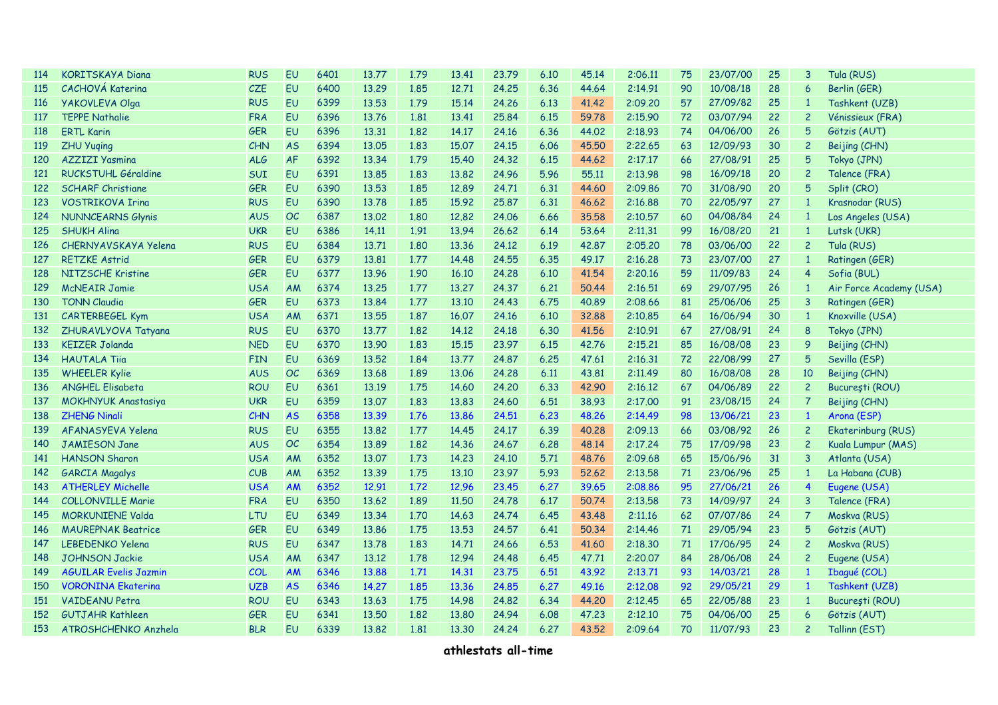| 114 | <b>KORITSKAYA Diana</b>      | <b>RUS</b> | <b>EU</b> | 6401 | 13.77 | 1.79 | 13.41 | 23.79 | 6.10 | 45.14 | 2:06.11 | 75 | 23/07/00 | 25 | 3                       | Tula (RUS)              |
|-----|------------------------------|------------|-----------|------|-------|------|-------|-------|------|-------|---------|----|----------|----|-------------------------|-------------------------|
| 115 | <b>CACHOVÁ Katerina</b>      | <b>CZE</b> | <b>EU</b> | 6400 | 13.29 | 1.85 | 12.71 | 24.25 | 6.36 | 44.64 | 2:14.91 | 90 | 10/08/18 | 28 | 6                       | Berlin (GER)            |
| 116 | <b>YAKOVLEVA Olga</b>        | <b>RUS</b> | EU        | 6399 | 13.53 | 1.79 | 15.14 | 24,26 | 6.13 | 41,42 | 2:09.20 | 57 | 27/09/82 | 25 | $\mathbf{1}$            | Tashkent (UZB)          |
| 117 | <b>TEPPE Nathalie</b>        | <b>FRA</b> | EU        | 6396 | 13.76 | 1.81 | 13.41 | 25.84 | 6.15 | 59.78 | 2:15.90 | 72 | 03/07/94 | 22 | $\overline{c}$          | Vénissieux (FRA)        |
| 118 | <b>ERTL Karin</b>            | <b>GER</b> | EU        | 6396 | 13.31 | 1.82 | 14,17 | 24.16 | 6.36 | 44.02 | 2:18.93 | 74 | 04/06/00 | 26 | 5                       | Götzis (AUT)            |
| 119 | <b>ZHU Yuqing</b>            | CHN        | <b>AS</b> | 6394 | 13.05 | 1.83 | 15,07 | 24.15 | 6.06 | 45.50 | 2:22.65 | 63 | 12/09/93 | 30 | $\overline{c}$          | Beijing (CHN)           |
| 120 | <b>AZZIZI Yasmina</b>        | ALG        | AF        | 6392 | 13.34 | 1.79 | 15.40 | 24.32 | 6.15 | 44.62 | 2:17.17 | 66 | 27/08/91 | 25 | 5                       | Tokyo (JPN)             |
| 121 | <b>RUCKSTUHL Géraldine</b>   | <b>SUI</b> | EU        | 6391 | 13.85 | 1.83 | 13.82 | 24.96 | 5.96 | 55.11 | 2:13.98 | 98 | 16/09/18 | 20 | $\overline{c}$          | Talence (FRA)           |
| 122 | <b>SCHARF Christiane</b>     | <b>GER</b> | <b>EU</b> | 6390 | 13.53 | 1.85 | 12.89 | 24.71 | 6.31 | 44.60 | 2:09.86 | 70 | 31/08/90 | 20 | 5                       | Split (CRO)             |
| 123 | <b>VOSTRIKOVA Irina</b>      | <b>RUS</b> | <b>EU</b> | 6390 | 13.78 | 1.85 | 15.92 | 25.87 | 6.31 | 46.62 | 2:16.88 | 70 | 22/05/97 | 27 | $\mathbf{1}$            | Krasnodar (RUS)         |
| 124 | <b>NUNNCEARNS Glynis</b>     | <b>AUS</b> | <b>OC</b> | 6387 | 13.02 | 1.80 | 12.82 | 24.06 | 6.66 | 35.58 | 2:10.57 | 60 | 04/08/84 | 24 | $\mathbf{1}$            | Los Angeles (USA)       |
| 125 | <b>SHUKH Alina</b>           | <b>UKR</b> | EU        | 6386 | 14.11 | 1.91 | 13.94 | 26.62 | 6.14 | 53.64 | 2:11.31 | 99 | 16/08/20 | 21 | $\mathbf{1}$            | Lutsk (UKR)             |
| 126 | CHERNYAVSKAYA Yelena         | <b>RUS</b> | EU        | 6384 | 13.71 | 1.80 | 13.36 | 24.12 | 6.19 | 42,87 | 2:05.20 | 78 | 03/06/00 | 22 | $\overline{c}$          | Tula (RUS)              |
| 127 | <b>RETZKE Astrid</b>         | GER        | EU        | 6379 | 13,81 | 1.77 | 14.48 | 24,55 | 6.35 | 49.17 | 2:16.28 | 73 | 23/07/00 | 27 | $\overline{1}$          | Ratingen (GER)          |
| 128 | NITZSCHE Kristine            | <b>GER</b> | <b>EU</b> | 6377 | 13.96 | 1.90 | 16,10 | 24,28 | 6.10 | 41.54 | 2:20.16 | 59 | 11/09/83 | 24 | $\overline{4}$          | Sofia (BUL)             |
| 129 | <b>McNEAIR Jamie</b>         | <b>USA</b> | AM        | 6374 | 13.25 | 1.77 | 13,27 | 24.37 | 6.21 | 50.44 | 2:16.51 | 69 | 29/07/95 | 26 | $\overline{1}$          | Air Force Academy (USA) |
| 130 | <b>TONN Claudia</b>          | <b>GER</b> | <b>EU</b> | 6373 | 13.84 | 1.77 | 13.10 | 24.43 | 6.75 | 40.89 | 2:08.66 | 81 | 25/06/06 | 25 | $\overline{3}$          | Ratingen (GER)          |
| 131 | CARTERBEGEL Kym              | <b>USA</b> | AM        | 6371 | 13.55 | 1.87 | 16,07 | 24.16 | 6.10 | 32.88 | 2:10.85 | 64 | 16/06/94 | 30 | $\mathbf{1}$            | Knoxville (USA)         |
| 132 | ZHURAVLYOVA Tatyana          | <b>RUS</b> | EU        | 6370 | 13.77 | 1.82 | 14.12 | 24.18 | 6.30 | 41.56 | 2:10.91 | 67 | 27/08/91 | 24 | 8                       | Tokyo (JPN)             |
| 133 | <b>KEIZER Jolanda</b>        | <b>NED</b> | EU        | 6370 | 13.90 | 1.83 | 15,15 | 23.97 | 6.15 | 42,76 | 2:15.21 | 85 | 16/08/08 | 23 | 9                       | Beijing (CHN)           |
| 134 | <b>HAUTALA Tiig</b>          | <b>FIN</b> | EU        | 6369 | 13.52 | 1.84 | 13,77 | 24,87 | 6.25 | 47.61 | 2:16.31 | 72 | 22/08/99 | 27 | 5                       | Sevilla (ESP)           |
| 135 | <b>WHEELER Kylie</b>         | <b>AUS</b> | <b>OC</b> | 6369 | 13.68 | 1.89 | 13.06 | 24,28 | 6.11 | 43,81 | 2:11.49 | 80 | 16/08/08 | 28 | 10                      | Beijing (CHN)           |
| 136 | <b>ANGHEL Elisabeta</b>      | <b>ROU</b> | <b>EU</b> | 6361 | 13.19 | 1.75 | 14.60 | 24.20 | 6.33 | 42.90 | 2:16.12 | 67 | 04/06/89 | 22 | $\overline{c}$          | București (ROU)         |
| 137 | <b>MOKHNYUK Anastasiya</b>   | <b>UKR</b> | <b>EU</b> | 6359 | 13.07 | 1.83 | 13.83 | 24.60 | 6.51 | 38.93 | 2:17.00 | 91 | 23/08/15 | 24 | $\overline{7}$          | Beijing (CHN)           |
| 138 | <b>ZHENG Ninali</b>          | <b>CHN</b> | <b>AS</b> | 6358 | 13.39 | 1.76 | 13.86 | 24.51 | 6.23 | 48.26 | 2:14.49 | 98 | 13/06/21 | 23 | $\mathbf{1}$            | Arona (ESP)             |
| 139 | AFANASYEVA Yelena            | <b>RUS</b> | EU        | 6355 | 13.82 | 1.77 | 14.45 | 24.17 | 6.39 | 40.28 | 2:09.13 | 66 | 03/08/92 | 26 | $\overline{c}$          | Ekaterinburg (RUS)      |
| 140 | <b>JAMIESON Jane</b>         | <b>AUS</b> | <b>OC</b> | 6354 | 13.89 | 1.82 | 14.36 | 24.67 | 6.28 | 48.14 | 2:17.24 | 75 | 17/09/98 | 23 | $\overline{c}$          | Kuala Lumpur (MAS)      |
| 141 | <b>HANSON Sharon</b>         | <b>USA</b> | AM        | 6352 | 13.07 | 1.73 | 14.23 | 24.10 | 5.71 | 48.76 | 2:09.68 | 65 | 15/06/96 | 31 | 3                       | Atlanta (USA)           |
| 142 | <b>GARCIA Magalys</b>        | CUB        | AM        | 6352 | 13.39 | 1.75 | 13,10 | 23.97 | 5.93 | 52,62 | 2:13.58 | 71 | 23/06/96 | 25 | $\mathbf{1}$            | La Habana (CUB)         |
| 143 | <b>ATHERLEY Michelle</b>     | <b>USA</b> | AM        | 6352 | 12.91 | 1.72 | 12.96 | 23,45 | 6.27 | 39.65 | 2:08.86 | 95 | 27/06/21 | 26 | $\overline{\mathbf{4}}$ | Eugene (USA)            |
| 144 | <b>COLLONVILLE Marie</b>     | FRA        | EU        | 6350 | 13.62 | 1.89 | 11,50 | 24,78 | 6.17 | 50.74 | 2:13.58 | 73 | 14/09/97 | 24 | 3                       | Talence (FRA)           |
| 145 | <b>MORKUNIENE Valda</b>      | LTU        | <b>EU</b> | 6349 | 13.34 | 1.70 | 14.63 | 24.74 | 6.45 | 43.48 | 2:11.16 | 62 | 07/07/86 | 24 | $\overline{7}$          | Moskva (RUS)            |
| 146 | <b>MAUREPNAK Beatrice</b>    | <b>GER</b> | <b>EU</b> | 6349 | 13.86 | 1.75 | 13.53 | 24.57 | 6.41 | 50,34 | 2:14.46 | 71 | 29/05/94 | 23 | 5                       | Götzis (AUT)            |
| 147 | <b>LEBEDENKO Yelena</b>      | <b>RUS</b> | EU        | 6347 | 13.78 | 1.83 | 14.71 | 24.66 | 6.53 | 41.60 | 2:18.30 | 71 | 17/06/95 | 24 | $\overline{c}$          | Moskva (RUS)            |
| 148 | <b>JOHNSON Jackie</b>        | <b>USA</b> | AM        | 6347 | 13.12 | 1.78 | 12.94 | 24.48 | 6.45 | 47.71 | 2:20.07 | 84 | 28/06/08 | 24 | $\overline{c}$          | Eugene (USA)            |
| 149 | <b>AGUILAR Evelis Jazmin</b> | COL        | AM        | 6346 | 13.88 | 1.71 | 14.31 | 23.75 | 6.51 | 43.92 | 2:13.71 | 93 | 14/03/21 | 28 | $\mathbf{1}$            | Ibagué (COL)            |
| 150 | <b>VORONINA Ekaterina</b>    | <b>UZB</b> | <b>AS</b> | 6346 | 14.27 | 1.85 | 13.36 | 24.85 | 6.27 | 49.16 | 2:12.08 | 92 | 29/05/21 | 29 | $\mathbf{1}$            | Tashkent (UZB)          |
| 151 | <b>VAIDEANU Petra</b>        | <b>ROU</b> | <b>EU</b> | 6343 | 13.63 | 1.75 | 14.98 | 24,82 | 6.34 | 44,20 | 2:12.45 | 65 | 22/05/88 | 23 | $\overline{1}$          | București (ROU)         |
| 152 | <b>GUTJAHR Kathleen</b>      | GER        | EU        | 6341 | 13.50 | 1.82 | 13,80 | 24.94 | 6.08 | 47.23 | 2:12,10 | 75 | 04/06/00 | 25 | $\overline{6}$          | Götzis (AUT)            |
| 153 | ATROSHCHENKO Anzhela         | <b>BLR</b> | EU        | 6339 | 13.82 | 1.81 | 13.30 | 24.24 | 6.27 | 43.52 | 2:09.64 | 70 | 11/07/93 | 23 | $\overline{c}$          | Tallinn (EST)           |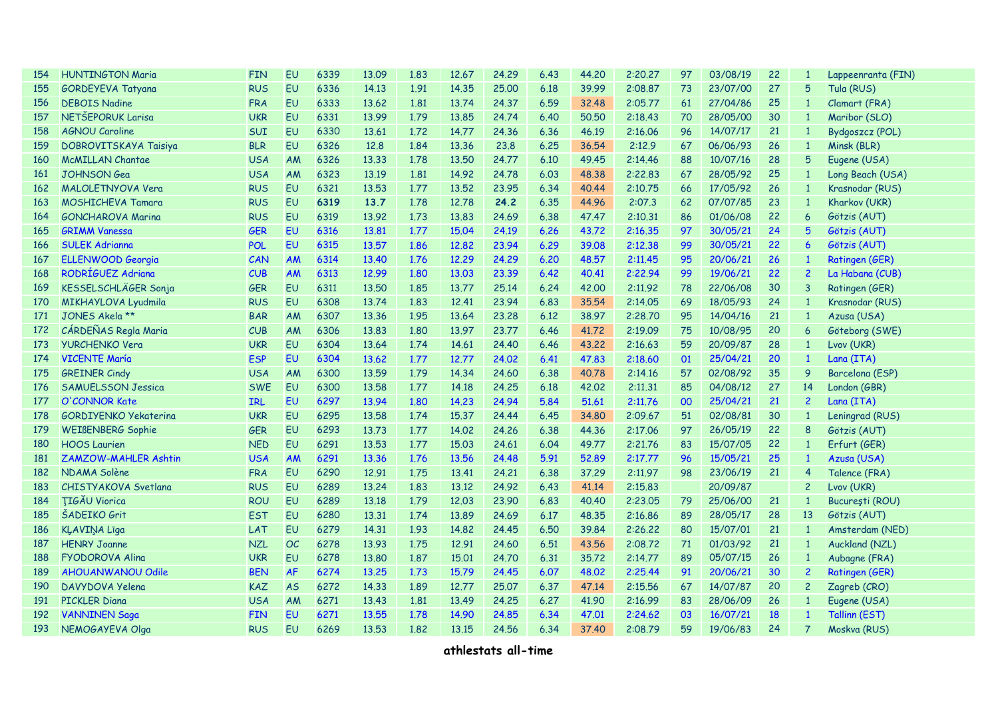| 154        | <b>HUNTINGTON Maria</b>      | <b>FIN</b> | <b>EU</b> | 6339 | 13.09 | 1.83 | 12.67 | 24.29 | 6.43 | 44.20 | 2:20.27 | 97 | 03/08/19 | 22 | 1              | Lappeenranta (FIN)   |
|------------|------------------------------|------------|-----------|------|-------|------|-------|-------|------|-------|---------|----|----------|----|----------------|----------------------|
| 155        | GORDEYEVA Tatyana            | <b>RUS</b> | <b>EU</b> | 6336 | 14.13 | 1.91 | 14.35 | 25.00 | 6.18 | 39.99 | 2:08.87 | 73 | 23/07/00 | 27 | 5              | Tula (RUS)           |
| 156        | <b>DEBOIS Nadine</b>         | <b>FRA</b> | <b>EU</b> | 6333 | 13.62 | 1.81 | 13.74 | 24.37 | 6.59 | 32.48 | 2:05.77 | 61 | 27/04/86 | 25 | $\mathbf{1}$   | Clamart (FRA)        |
| 157        | NETŠEPORUK Larisa            | <b>UKR</b> | <b>EU</b> | 6331 | 13.99 | 1.79 | 13.85 | 24.74 | 6.40 | 50.50 | 2:18.43 | 70 | 28/05/00 | 30 | $\mathbf{1}$   | Maribor (SLO)        |
| 158        | <b>AGNOU Caroline</b>        | SUI        | <b>EU</b> | 6330 | 13.61 | 1.72 | 14.77 | 24.36 | 6.36 | 46.19 | 2:16.06 | 96 | 14/07/17 | 21 | $\mathbf{1}$   | Bydgoszcz (POL)      |
| 159        | DOBROVITSKAYA Taisiya        | <b>BLR</b> | <b>EU</b> | 6326 | 12.8  | 1.84 | 13.36 | 23,8  | 6.25 | 36.54 | 2:12.9  | 67 | 06/06/93 | 26 | $\mathbf{1}$   | Minsk (BLR)          |
| 160        | <b>McMILLAN Chantae</b>      | <b>USA</b> | AM        | 6326 | 13.33 | 1.78 | 13.50 | 24,77 | 6.10 | 49.45 | 2:14.46 | 88 | 10/07/16 | 28 | 5              | Eugene (USA)         |
| <b>161</b> | <b>JOHNSON</b> Gea           | <b>USA</b> | AM        | 6323 | 13.19 | 1.81 | 14.92 | 24,78 | 6.03 | 48.38 | 2:22.83 | 67 | 28/05/92 | 25 | $\overline{1}$ | Long Beach (USA)     |
| 162        | MALOLETNYOVA Vera            | <b>RUS</b> | EU        | 6321 | 13.53 | 1.77 | 13.52 | 23.95 | 6.34 | 40.44 | 2:10.75 | 66 | 17/05/92 | 26 | $\mathbf{1}$   | Krasnodar (RUS)      |
| 163        | <b>MOSHICHEVA Tamara</b>     | <b>RUS</b> | EU        | 6319 | 13.7  | 1.78 | 12,78 | 24.2  | 6.35 | 44.96 | 2:07.3  | 62 | 07/07/85 | 23 | $\mathbf{1}$   | Kharkov (UKR)        |
| 164        | <b>GONCHAROVA Marina</b>     | <b>RUS</b> | <b>EU</b> | 6319 | 13.92 | 1.73 | 13.83 | 24.69 | 6.38 | 47.47 | 2:10.31 | 86 | 01/06/08 | 22 | 6              | Götzis (AUT)         |
| 165        | <b>GRIMM Vanessa</b>         | <b>GER</b> | <b>EU</b> | 6316 | 13.81 | 1.77 | 15,04 | 24.19 | 6.26 | 43.72 | 2:16.35 | 97 | 30/05/21 | 24 | 5              | Götzis (AUT)         |
| 166        | <b>SULEK Adrianna</b>        | <b>POL</b> | <b>EU</b> | 6315 | 13.57 | 1.86 | 12,82 | 23.94 | 6.29 | 39.08 | 2:12.38 | 99 | 30/05/21 | 22 | 6              | Götzis (AUT)         |
| 167        | <b>ELLENWOOD Georgia</b>     | CAN        | <b>AM</b> | 6314 | 13.40 | 1.76 | 12.29 | 24.29 | 6,20 | 48.57 | 2:11.45 | 95 | 20/06/21 | 26 | $\mathbf{1}$   | Ratingen (GER)       |
| 168        | RODRÍGUEZ Adriana            | CUB        | <b>AM</b> | 6313 | 12.99 | 1.80 | 13.03 | 23.39 | 6.42 | 40.41 | 2:22.94 | 99 | 19/06/21 | 22 | $\overline{c}$ | La Habana (CUB)      |
| 169        | KESSELSCHLÄGER Sonja         | <b>GER</b> | <b>EU</b> | 6311 | 13.50 | 1.85 | 13.77 | 25.14 | 6.24 | 42.00 | 2:11.92 | 78 | 22/06/08 | 30 | 3              | Ratingen (GER)       |
| 170        | <b>MIKHAYLOVA Lyudmila</b>   | <b>RUS</b> | <b>EU</b> | 6308 | 13.74 | 1.83 | 12,41 | 23.94 | 6.83 | 35.54 | 2:14.05 | 69 | 18/05/93 | 24 | $\mathbf{1}$   | Krasnodar (RUS)      |
| 171        | JONES Akela **               | <b>BAR</b> | AM        | 6307 | 13.36 | 1.95 | 13.64 | 23.28 | 6.12 | 38.97 | 2:28.70 | 95 | 14/04/16 | 21 | $\mathbf{1}$   | Azusa (USA)          |
| 172        | CÁRDEÑAS Regla Maria         | CUB        | AM        | 6306 | 13.83 | 1.80 | 13.97 | 23.77 | 6.46 | 41.72 | 2:19.09 | 75 | 10/08/95 | 20 | 6              | Göteborg (SWE)       |
| 173        | <b>YURCHENKO Vera</b>        | <b>UKR</b> | <b>EU</b> | 6304 | 13.64 | 1.74 | 14.61 | 24.40 | 6.46 | 43.22 | 2:16.63 | 59 | 20/09/87 | 28 | $\mathbf{1}$   | Lvov (UKR)           |
| 174        | <b>VICENTE María</b>         | <b>ESP</b> | <b>EU</b> | 6304 | 13.62 | 1.77 | 12.77 | 24.02 | 6.41 | 47.83 | 2:18.60 | 01 | 25/04/21 | 20 | $\mathbf{1}$   | Lana (ITA)           |
| 175        | <b>GREINER Cindy</b>         | <b>USA</b> | AM        | 6300 | 13.59 | 1.79 | 14.34 | 24.60 | 6.38 | 40.78 | 2:14.16 | 57 | 02/08/92 | 35 | $\mathbf{9}$   | Barcelona (ESP)      |
| 176        | <b>SAMUELSSON Jessica</b>    | <b>SWE</b> | EU        | 6300 | 13.58 | 1.77 | 14.18 | 24,25 | 6.18 | 42,02 | 2:11.31 | 85 | 04/08/12 | 27 | 14             | London (GBR)         |
| 177        | O'CONNOR Kate                | <b>IRL</b> | <b>EU</b> | 6297 | 13.94 | 1.80 | 14.23 | 24.94 | 5.84 | 51.61 | 2:11.76 | 00 | 25/04/21 | 21 | $\overline{c}$ | Lana (ITA)           |
| 178        | <b>GORDIYENKO Yekaterina</b> | <b>UKR</b> | <b>EU</b> | 6295 | 13.58 | 1.74 | 15,37 | 24.44 | 6.45 | 34,80 | 2:09.67 | 51 | 02/08/81 | 30 | $\mathbf{1}$   | Leningrad (RUS)      |
| 179        | WEIßENBERG Sophie            | <b>GER</b> | EU        | 6293 | 13.73 | 1.77 | 14.02 | 24,26 | 6.38 | 44.36 | 2:17.06 | 97 | 26/05/19 | 22 | 8              | Götzis (AUT)         |
| 180        | <b>HOOS Laurien</b>          | <b>NED</b> | EU        | 6291 | 13.53 | 1.77 | 15.03 | 24.61 | 6.04 | 49.77 | 2:21.76 | 83 | 15/07/05 | 22 | $\mathbf{1}$   | Erfurt (GER)         |
| 181        | <b>ZAMZOW-MAHLER Ashtin</b>  | <b>USA</b> | <b>AM</b> | 6291 | 13.36 | 1.76 | 13.56 | 24.48 | 5.91 | 52.89 | 2:17.77 | 96 | 15/05/21 | 25 | $\mathbf{1}$   | Azusa (USA)          |
| 182        | NDAMA Solène                 | <b>FRA</b> | <b>EU</b> | 6290 | 12.91 | 1.75 | 13.41 | 24,21 | 6.38 | 37.29 | 2:11.97 | 98 | 23/06/19 | 21 | 4              | Talence (FRA)        |
| 183        | CHISTYAKOVA Svetlana         | <b>RUS</b> | <b>EU</b> | 6289 | 13.24 | 1.83 | 13,12 | 24.92 | 6.43 | 41.14 | 2:15.83 |    | 20/09/87 |    | $\overline{c}$ | Lvov (UKR)           |
| 184        | <b>TIGAU Viorica</b>         | <b>ROU</b> | <b>EU</b> | 6289 | 13.18 | 1.79 | 12.03 | 23.90 | 6.83 | 40.40 | 2:23.05 | 79 | 25/06/00 | 21 | $\mathbf{1}$   | București (ROU)      |
| 185        | ŠADEIKO Grit                 | <b>EST</b> | <b>EU</b> | 6280 | 13.31 | 1.74 | 13.89 | 24.69 | 6.17 | 48.35 | 2:16.86 | 89 | 28/05/17 | 28 | 13             | Götzis (AUT)         |
| 186        | <b>KLAVINA Līga</b>          | LAT        | <b>EU</b> | 6279 | 14.31 | 1.93 | 14.82 | 24.45 | 6.50 | 39.84 | 2:26.22 | 80 | 15/07/01 | 21 | $\mathbf{1}$   | Amsterdam (NED)      |
| 187        | <b>HENRY Joanne</b>          | <b>NZL</b> | OC        | 6278 | 13.93 | 1.75 | 12.91 | 24.60 | 6.51 | 43.56 | 2:08.72 | 71 | 01/03/92 | 21 | $\mathbf{1}$   | Auckland (NZL)       |
| 188        | <b>FYODOROVA Alina</b>       | <b>UKR</b> | EU        | 6278 | 13.80 | 1.87 | 15.01 | 24,70 | 6.31 | 35.72 | 2:14.77 | 89 | 05/07/15 | 26 | $\mathbf{1}$   | Aubagne (FRA)        |
| 189        | <b>AHOUANWANOU Odile</b>     | <b>BEN</b> | AF        | 6274 | 13.25 | 1.73 | 15.79 | 24.45 | 6.07 | 48,02 | 2:25.44 | 91 | 20/06/21 | 30 | $\overline{c}$ | Ratingen (GER)       |
| 190        | DAVYDOVA Yelena              | KAZ        | <b>AS</b> | 6272 | 14.33 | 1.89 | 12.77 | 25,07 | 6.37 | 47.14 | 2:15.56 | 67 | 14/07/87 | 20 | $\overline{c}$ | Zagreb (CRO)         |
| 191        | <b>PICKLER Diana</b>         | <b>USA</b> | AM        | 6271 | 13.43 | 1.81 | 13.49 | 24,25 | 6.27 | 41.90 | 2:16.99 | 83 | 28/06/09 | 26 |                | Eugene (USA)         |
| 192        | <b>VANNINEN Saga</b>         | <b>FIN</b> | <b>EU</b> | 6271 | 13.55 | 1.78 | 14.90 | 24.85 | 6.34 | 47,01 | 2:24.62 | 03 | 16/07/21 | 18 |                | <b>Tallinn (EST)</b> |
| 193        | NEMOGAYEVA Olga              | <b>RUS</b> | <b>EU</b> | 6269 | 13.53 | 1.82 | 13.15 | 24.56 | 6.34 | 37.40 | 2:08.79 | 59 | 19/06/83 | 24 | $\overline{7}$ | Moskva (RUS)         |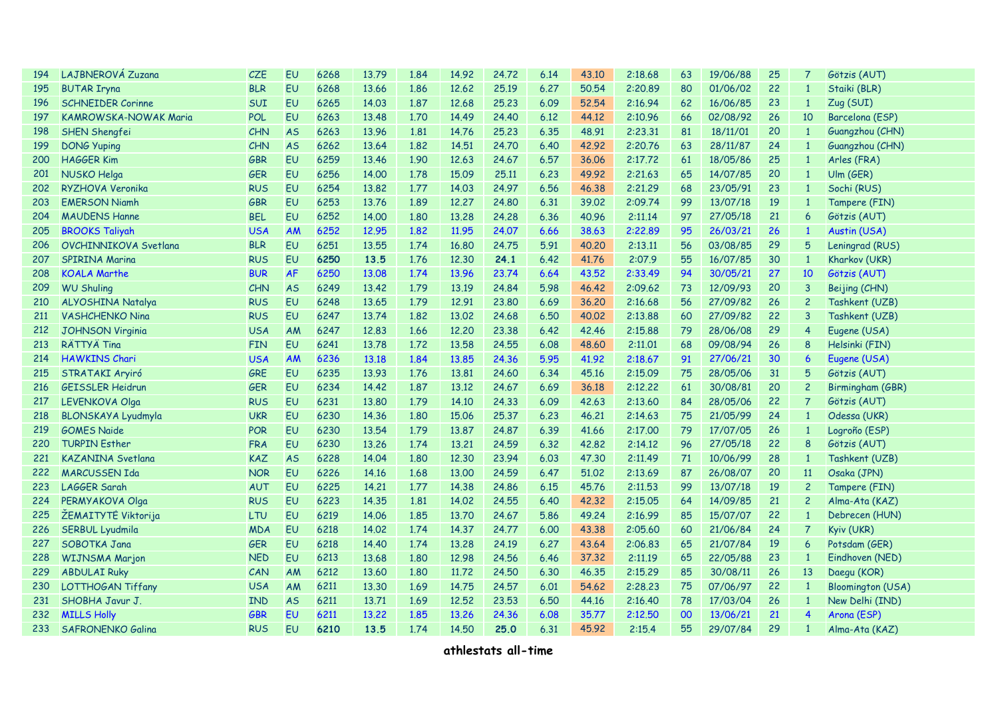| 194 | LAJBNEROVÁ Zuzana            | CZE        | <b>EU</b> | 6268 | 13.79 | 1.84 | 14.92 | 24.72 | 6.14 | 43.10 | 2:18.68 | 63 | 19/06/88 | 25 | 7                       | Götzis (AUT)             |
|-----|------------------------------|------------|-----------|------|-------|------|-------|-------|------|-------|---------|----|----------|----|-------------------------|--------------------------|
| 195 | <b>BUTAR Iryna</b>           | <b>BLR</b> | <b>EU</b> | 6268 | 13.66 | 1.86 | 12.62 | 25.19 | 6.27 | 50.54 | 2:20.89 | 80 | 01/06/02 | 22 | $\mathbf{1}$            | Staiki (BLR)             |
| 196 | <b>SCHNEIDER Corinne</b>     | SUI        | <b>EU</b> | 6265 | 14.03 | 1.87 | 12.68 | 25.23 | 6.09 | 52.54 | 2:16.94 | 62 | 16/06/85 | 23 | $\mathbf{1}$            | Zug (SUI)                |
| 197 | <b>KAMROWSKA-NOWAK Maria</b> | <b>POL</b> | <b>EU</b> | 6263 | 13.48 | 1.70 | 14.49 | 24.40 | 6.12 | 44.12 | 2:10.96 | 66 | 02/08/92 | 26 | 10                      | Barcelona (ESP)          |
| 198 | SHEN Shengfei                | CHN        | <b>AS</b> | 6263 | 13.96 | 1.81 | 14.76 | 25,23 | 6.35 | 48.91 | 2:23.31 | 81 | 18/11/01 | 20 | $\mathbf{1}$            | Guangzhou (CHN)          |
| 199 | <b>DONG Yuping</b>           | <b>CHN</b> | <b>AS</b> | 6262 | 13.64 | 1,82 | 14,51 | 24,70 | 6.40 | 42.92 | 2:20.76 | 63 | 28/11/87 | 24 | $\mathbf{1}$            | Guangzhou (CHN)          |
| 200 | <b>HAGGER Kim</b>            | <b>GBR</b> | EU        | 6259 | 13.46 | 1.90 | 12.63 | 24.67 | 6.57 | 36,06 | 2:17.72 | 61 | 18/05/86 | 25 | $\mathbf{1}$            | Arles (FRA)              |
| 201 | NUSKO Helga                  | <b>GER</b> | EU        | 6256 | 14,00 | 1.78 | 15.09 | 25.11 | 6.23 | 49.92 | 2:21,63 | 65 | 14/07/85 | 20 | $\mathbf{1}$            | Ulm(GER)                 |
| 202 | RYZHOVA Veronika             | <b>RUS</b> | EU        | 6254 | 13.82 | 1.77 | 14.03 | 24.97 | 6.56 | 46.38 | 2:21.29 | 68 | 23/05/91 | 23 | $\mathbf{1}$            | Sochi (RUS)              |
| 203 | <b>EMERSON Niamh</b>         | <b>GBR</b> | EU        | 6253 | 13.76 | 1.89 | 12,27 | 24,80 | 6.31 | 39,02 | 2:09.74 | 99 | 13/07/18 | 19 | $\mathbf{1}$            | Tampere (FIN)            |
| 204 | <b>MAUDENS Hanne</b>         | <b>BEL</b> | <b>EU</b> | 6252 | 14.00 | 1.80 | 13,28 | 24.28 | 6.36 | 40.96 | 2:11.14 | 97 | 27/05/18 | 21 | 6                       | Götzis (AUT)             |
| 205 | <b>BROOKS Taliyah</b>        | <b>USA</b> | <b>AM</b> | 6252 | 12.95 | 1.82 | 11.95 | 24.07 | 6.66 | 38.63 | 2:22.89 | 95 | 26/03/21 | 26 | $\mathbf{1}$            | Austin (USA)             |
| 206 | <b>OVCHINNIKOVA Svetlana</b> | <b>BLR</b> | <b>EU</b> | 6251 | 13.55 | 1.74 | 16.80 | 24.75 | 5.91 | 40.20 | 2:13.11 | 56 | 03/08/85 | 29 | 5                       | Leningrad (RUS)          |
| 207 | <b>SPIRINA Marina</b>        | <b>RUS</b> | <b>EU</b> | 6250 | 13.5  | 1.76 | 12,30 | 24.1  | 6.42 | 41.76 | 2:07.9  | 55 | 16/07/85 | 30 | $\mathbf{1}$            | Kharkov (UKR)            |
| 208 | <b>KOALA Marthe</b>          | <b>BUR</b> | AF        | 6250 | 13,08 | 1.74 | 13.96 | 23,74 | 6.64 | 43.52 | 2:33.49 | 94 | 30/05/21 | 27 | 10                      | Götzis (AUT)             |
| 209 | <b>WU Shuling</b>            | CHN        | <b>AS</b> | 6249 | 13.42 | 1.79 | 13.19 | 24.84 | 5.98 | 46.42 | 2:09.62 | 73 | 12/09/93 | 20 | 3                       | Beijing (CHN)            |
| 210 | ALYOSHINA Natalya            | <b>RUS</b> | EU        | 6248 | 13.65 | 1.79 | 12.91 | 23,80 | 6.69 | 36,20 | 2:16.68 | 56 | 27/09/82 | 26 | $\overline{c}$          | Tashkent (UZB)           |
| 211 | <b>VASHCHENKO Nina</b>       | <b>RUS</b> | EU        | 6247 | 13.74 | 1.82 | 13,02 | 24.68 | 6.50 | 40,02 | 2:13.88 | 60 | 27/09/82 | 22 | 3                       | Tashkent (UZB)           |
| 212 | <b>JOHNSON Virginia</b>      | <b>USA</b> | AM        | 6247 | 12,83 | 1.66 | 12,20 | 23,38 | 6.42 | 42.46 | 2:15.88 | 79 | 28/06/08 | 29 | $\overline{4}$          | Eugene (USA)             |
| 213 | RÄTTYÄ Tina                  | <b>FIN</b> | EU        | 6241 | 13.78 | 1.72 | 13.58 | 24.55 | 6.08 | 48,60 | 2:11.01 | 68 | 09/08/94 | 26 | 8                       | Helsinki (FIN)           |
| 214 | <b>HAWKINS Chari</b>         | <b>USA</b> | <b>AM</b> | 6236 | 13.18 | 1.84 | 13,85 | 24.36 | 5.95 | 41.92 | 2:18.67 | 91 | 27/06/21 | 30 | $6\overline{6}$         | Eugene (USA)             |
| 215 | STRATAKI Aryiró              | GRE        | EU        | 6235 | 13.93 | 1.76 | 13,81 | 24.60 | 6.34 | 45.16 | 2:15.09 | 75 | 28/05/06 | 31 | 5                       | Götzis (AUT)             |
| 216 | <b>GEISSLER Heidrun</b>      | <b>GER</b> | EU        | 6234 | 14.42 | 1.87 | 13,12 | 24.67 | 6.69 | 36.18 | 2:12,22 | 61 | 30/08/81 | 20 | $\overline{c}$          | Birmingham (GBR)         |
| 217 | LEVENKOVA Olga               | <b>RUS</b> | <b>EU</b> | 6231 | 13,80 | 1.79 | 14.10 | 24.33 | 6.09 | 42.63 | 2:13.60 | 84 | 28/05/06 | 22 | $\overline{7}$          | Götzis (AUT)             |
| 218 | <b>BLONSKAYA Lyudmyla</b>    | <b>UKR</b> | <b>EU</b> | 6230 | 14.36 | 1.80 | 15.06 | 25.37 | 6.23 | 46.21 | 2:14.63 | 75 | 21/05/99 | 24 | $\mathbf{1}$            | Odessa (UKR)             |
| 219 | <b>GOMES Naide</b>           | POR        | EU        | 6230 | 13.54 | 1.79 | 13,87 | 24,87 | 6.39 | 41.66 | 2:17.00 | 79 | 17/07/05 | 26 | $\mathbf{1}$            | Logroño (ESP)            |
| 220 | <b>TURPIN Esther</b>         | <b>FRA</b> | EU        | 6230 | 13.26 | 1.74 | 13,21 | 24.59 | 6.32 | 42,82 | 2:14.12 | 96 | 27/05/18 | 22 | 8                       | Götzis (AUT)             |
| 221 | <b>KAZANINA Svetlana</b>     | <b>KAZ</b> | <b>AS</b> | 6228 | 14.04 | 1.80 | 12,30 | 23.94 | 6.03 | 47.30 | 2:11,49 | 71 | 10/06/99 | 28 | $\mathbf{1}$            | Tashkent (UZB)           |
| 222 | <b>MARCUSSEN Ida</b>         | <b>NOR</b> | EU        | 6226 | 14.16 | 1.68 | 13,00 | 24.59 | 6.47 | 51,02 | 2:13.69 | 87 | 26/08/07 | 20 | 11                      | Osaka (JPN)              |
| 223 | LAGGER Sarah                 | <b>AUT</b> | EU        | 6225 | 14.21 | 1.77 | 14.38 | 24,86 | 6.15 | 45.76 | 2:11,53 | 99 | 13/07/18 | 19 | $\overline{c}$          | Tampere (FIN)            |
| 224 | PERMYAKOVA Olga              | <b>RUS</b> | EU        | 6223 | 14.35 | 1.81 | 14.02 | 24.55 | 6.40 | 42.32 | 2:15.05 | 64 | 14/09/85 | 21 | $\overline{c}$          | Alma-Ata (KAZ)           |
| 225 | ŽEMAITYTĖ Viktorija          | LTU        | <b>EU</b> | 6219 | 14.06 | 1.85 | 13,70 | 24.67 | 5.86 | 49.24 | 2:16.99 | 85 | 15/07/07 | 22 | $\mathbf{1}$            | Debrecen (HUN)           |
| 226 | <b>SERBUL Lyudmila</b>       | <b>MDA</b> | EU        | 6218 | 14.02 | 1.74 | 14.37 | 24.77 | 6.00 | 43,38 | 2:05.60 | 60 | 21/06/84 | 24 | $\overline{7}$          | <b>Kyiv (UKR)</b>        |
| 227 | SOBOTKA Jana                 | <b>GER</b> | EU        | 6218 | 14.40 | 1.74 | 13.28 | 24.19 | 6.27 | 43.64 | 2:06.83 | 65 | 21/07/84 | 19 | 6                       | Potsdam (GER)            |
| 228 | <b>WIJNSMA Marjon</b>        | <b>NED</b> | <b>EU</b> | 6213 | 13.68 | 1.80 | 12.98 | 24.56 | 6.46 | 37.32 | 2:11.19 | 65 | 22/05/88 | 23 | $\mathbf{1}$            | Eindhoven (NED)          |
| 229 | <b>ABDULAI Ruky</b>          | CAN        | AM        | 6212 | 13.60 | 1.80 | 11.72 | 24.50 | 6.30 | 46.35 | 2:15.29 | 85 | 30/08/11 | 26 | 13                      | Daegu (KOR)              |
| 230 | <b>LOTTHOGAN Tiffany</b>     | <b>USA</b> | AM        | 6211 | 13.30 | 1.69 | 14.75 | 24.57 | 6.01 | 54.62 | 2:28.23 | 75 | 07/06/97 | 22 | $\overline{\mathbf{1}}$ | <b>Bloomington (USA)</b> |
| 231 | SHOBHA Javur J.              | <b>IND</b> | <b>AS</b> | 6211 | 13.71 | 1.69 | 12.52 | 23,53 | 6.50 | 44.16 | 2:16.40 | 78 | 17/03/04 | 26 | $\mathbf{1}$            | New Delhi (IND)          |
| 232 | <b>MILLS Holly</b>           | <b>GBR</b> | EU        | 6211 | 13,22 | 1.85 | 13.26 | 24.36 | 6.08 | 35.77 | 2:12,50 | 00 | 13/06/21 | 21 | 4                       | Arona (ESP)              |
| 233 | <b>SAFRONENKO Galina</b>     | <b>RUS</b> | <b>EU</b> | 6210 | 13.5  | 1.74 | 14.50 | 25.0  | 6.31 | 45.92 | 2:15.4  | 55 | 29/07/84 | 29 |                         | Alma-Ata (KAZ)           |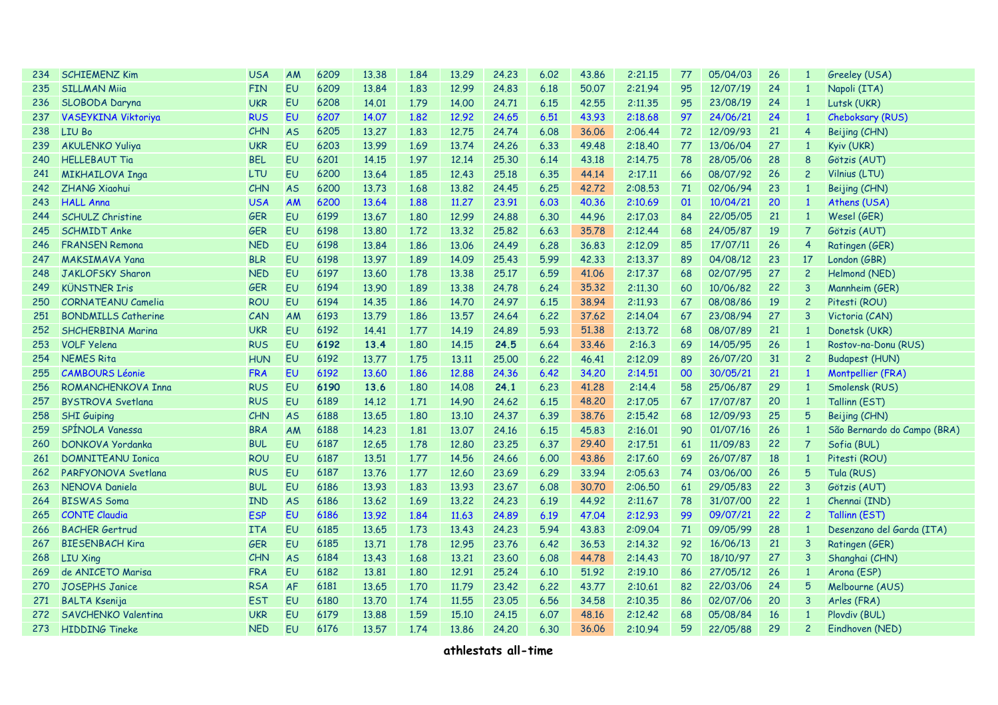| 234 | <b>SCHIEMENZ Kim</b>       | <b>USA</b> | AM        | 6209 | 13.38 | 1.84 | 13.29 | 24.23 | 6.02 | 43.86 | 2:21.15 | 77 | 05/04/03 | 26 | $\mathbf{1}$   | Greeley (USA)               |
|-----|----------------------------|------------|-----------|------|-------|------|-------|-------|------|-------|---------|----|----------|----|----------------|-----------------------------|
| 235 | <b>SILLMAN Miia</b>        | <b>FIN</b> | <b>EU</b> | 6209 | 13.84 | 1.83 | 12.99 | 24.83 | 6.18 | 50.07 | 2:21.94 | 95 | 12/07/19 | 24 | $\mathbf{1}$   | Napoli (ITA)                |
| 236 | SLOBODA Daryna             | <b>UKR</b> | EU        | 6208 | 14.01 | 1.79 | 14.00 | 24.71 | 6.15 | 42.55 | 2:11.35 | 95 | 23/08/19 | 24 | $\mathbf{1}$   | Lutsk (UKR)                 |
| 237 | <b>VASEYKINA Viktoriya</b> | <b>RUS</b> | <b>EU</b> | 6207 | 14.07 | 1.82 | 12.92 | 24.65 | 6.51 | 43.93 | 2:18.68 | 97 | 24/06/21 | 24 | $\mathbf{1}$   | Cheboksary (RUS)            |
| 238 | LIU Bo                     | <b>CHN</b> | <b>AS</b> | 6205 | 13,27 | 1.83 | 12.75 | 24.74 | 6.08 | 36.06 | 2:06.44 | 72 | 12/09/93 | 21 | $\overline{4}$ | Beijing (CHN)               |
| 239 | <b>AKULENKO Yuliya</b>     | <b>UKR</b> | EU        | 6203 | 13.99 | 1.69 | 13.74 | 24,26 | 6.33 | 49.48 | 2:18,40 | 77 | 13/06/04 | 27 | $\overline{1}$ | Kyiv (UKR)                  |
| 240 | <b>HELLEBAUT Tia</b>       | <b>BEL</b> | EU        | 6201 | 14.15 | 1.97 | 12,14 | 25,30 | 6.14 | 43.18 | 2:14.75 | 78 | 28/05/06 | 28 | 8              | Götzis (AUT)                |
| 241 | <b>MIKHAILOVA Inga</b>     | LTU        | EU        | 6200 | 13.64 | 1.85 | 12.43 | 25.18 | 6.35 | 44.14 | 2:17.11 | 66 | 08/07/92 | 26 | $\overline{c}$ | Vilnius (LTU)               |
| 242 | <b>ZHANG Xiaohui</b>       | <b>CHN</b> | <b>AS</b> | 6200 | 13.73 | 1.68 | 13,82 | 24.45 | 6.25 | 42.72 | 2:08.53 | 71 | 02/06/94 | 23 | $\mathbf{1}$   | Beijing (CHN)               |
| 243 | <b>HALL Anna</b>           | <b>USA</b> | AM        | 6200 | 13.64 | 1.88 | 11,27 | 23.91 | 6.03 | 40.36 | 2:10.69 | 01 | 10/04/21 | 20 | $\mathbf{1}$   | Athens (USA)                |
| 244 | <b>SCHULZ Christine</b>    | <b>GER</b> | EU        | 6199 | 13.67 | 1.80 | 12.99 | 24.88 | 6.30 | 44.96 | 2:17.03 | 84 | 22/05/05 | 21 | $\mathbf{1}$   | Wesel (GER)                 |
| 245 | <b>SCHMIDT Anke</b>        | <b>GER</b> | <b>EU</b> | 6198 | 13.80 | 1.72 | 13.32 | 25.82 | 6.63 | 35.78 | 2:12.44 | 68 | 24/05/87 | 19 | 7              | Götzis (AUT)                |
| 246 | <b>FRANSEN Remona</b>      | <b>NED</b> | EU        | 6198 | 13.84 | 1.86 | 13.06 | 24.49 | 6.28 | 36.83 | 2:12.09 | 85 | 17/07/11 | 26 | 4              | Ratingen (GER)              |
| 247 | <b>MAKSIMAVA Yana</b>      | <b>BLR</b> | <b>EU</b> | 6198 | 13.97 | 1.89 | 14.09 | 25.43 | 5.99 | 42.33 | 2:13.37 | 89 | 04/08/12 | 23 | 17             | London (GBR)                |
| 248 | <b>JAKLOFSKY Sharon</b>    | <b>NED</b> | EU        | 6197 | 13.60 | 1.78 | 13,38 | 25,17 | 6.59 | 41.06 | 2:17.37 | 68 | 02/07/95 | 27 | $\overline{c}$ | Helmond (NED)               |
| 249 | <b>KÜNSTNER Iris</b>       | <b>GER</b> | EU        | 6194 | 13.90 | 1.89 | 13.38 | 24.78 | 6.24 | 35,32 | 2:11,30 | 60 | 10/06/82 | 22 | 3              | Mannheim (GER)              |
| 250 | <b>CORNATEANU Camelia</b>  | <b>ROU</b> | EU        | 6194 | 14.35 | 1.86 | 14.70 | 24.97 | 6.15 | 38.94 | 2:11.93 | 67 | 08/08/86 | 19 | $\overline{c}$ | Pitesti (ROU)               |
| 251 | <b>BONDMILLS Catherine</b> | CAN        | AM        | 6193 | 13.79 | 1.86 | 13.57 | 24.64 | 6.22 | 37.62 | 2:14.04 | 67 | 23/08/94 | 27 | 3              | Victoria (CAN)              |
| 252 | <b>SHCHERBINA Marina</b>   | <b>UKR</b> | EU        | 6192 | 14.41 | 1.77 | 14.19 | 24.89 | 5.93 | 51.38 | 2:13.72 | 68 | 08/07/89 | 21 | $\mathbf{1}$   | Donetsk (UKR)               |
| 253 | <b>VOLF Yelena</b>         | <b>RUS</b> | EU        | 6192 | 13.4  | 1.80 | 14.15 | 24.5  | 6.64 | 33.46 | 2:16.3  | 69 | 14/05/95 | 26 | $\overline{1}$ | Rostov-na-Donu (RUS)        |
| 254 | <b>NEMES Rita</b>          | <b>HUN</b> | EU        | 6192 | 13.77 | 1.75 | 13.11 | 25.00 | 6.22 | 46.41 | 2:12.09 | 89 | 26/07/20 | 31 | $\overline{c}$ | <b>Budapest (HUN)</b>       |
| 255 | <b>CAMBOURS Léonie</b>     | <b>FRA</b> | <b>EU</b> | 6192 | 13.60 | 1.86 | 12,88 | 24.36 | 6.42 | 34,20 | 2:14.51 | 00 | 30/05/21 | 21 | $\mathbf{1}$   | Montpellier (FRA)           |
| 256 | ROMANCHENKOVA Inna         | <b>RUS</b> | <b>EU</b> | 6190 | 13.6  | 1.80 | 14.08 | 24.1  | 6.23 | 41.28 | 2:14.4  | 58 | 25/06/87 | 29 | $\mathbf{1}$   | Smolensk (RUS)              |
| 257 | <b>BYSTROVA Svetlana</b>   | <b>RUS</b> | EU        | 6189 | 14.12 | 1.71 | 14.90 | 24.62 | 6.15 | 48.20 | 2:17.05 | 67 | 17/07/87 | 20 | $\mathbf{1}$   | Tallinn (EST)               |
| 258 | <b>SHI Guiping</b>         | CHN        | <b>AS</b> | 6188 | 13.65 | 1.80 | 13.10 | 24.37 | 6.39 | 38.76 | 2:15.42 | 68 | 12/09/93 | 25 | 5              | Beijing (CHN)               |
| 259 | SPÍNOLA Vanessa            | <b>BRA</b> | AM        | 6188 | 14.23 | 1.81 | 13,07 | 24.16 | 6.15 | 45,83 | 2:16.01 | 90 | 01/07/16 | 26 | $\mathbf{1}$   | São Bernardo do Campo (BRA) |
| 260 | <b>DONKOVA Yordanka</b>    | <b>BUL</b> | EU        | 6187 | 12.65 | 1.78 | 12,80 | 23,25 | 6.37 | 29,40 | 2:17,51 | 61 | 11/09/83 | 22 | $\overline{7}$ | Sofia (BUL)                 |
| 261 | <b>DOMNITEANU Ionica</b>   | <b>ROU</b> | EU        | 6187 | 13.51 | 1.77 | 14.56 | 24.66 | 6.00 | 43.86 | 2:17,60 | 69 | 26/07/87 | 18 | $\mathbf{1}$   | Pitesti (ROU)               |
| 262 | PARFYONOVA Svetlana        | <b>RUS</b> | <b>EU</b> | 6187 | 13.76 | 1.77 | 12,60 | 23.69 | 6.29 | 33.94 | 2:05.63 | 74 | 03/06/00 | 26 | 5              | Tula (RUS)                  |
| 263 | NENOVA Daniela             | <b>BUL</b> | <b>EU</b> | 6186 | 13.93 | 1.83 | 13.93 | 23,67 | 6.08 | 30.70 | 2:06,50 | 61 | 29/05/83 | 22 | 3              | Götzis (AUT)                |
| 264 | <b>BISWAS Soma</b>         | <b>IND</b> | <b>AS</b> | 6186 | 13.62 | 1.69 | 13,22 | 24,23 | 6.19 | 44.92 | 2:11,67 | 78 | 31/07/00 | 22 | $\mathbf{1}$   | Chennai (IND)               |
| 265 | <b>CONTE Claudia</b>       | <b>ESP</b> | <b>EU</b> | 6186 | 13.92 | 1.84 | 11.63 | 24.89 | 6.19 | 47.04 | 2:12.93 | 99 | 09/07/21 | 22 | $\overline{2}$ | Tallinn (EST)               |
| 266 | <b>BACHER Gertrud</b>      | <b>ITA</b> | EU        | 6185 | 13.65 | 1.73 | 13.43 | 24,23 | 5.94 | 43.83 | 2:09.04 | 71 | 09/05/99 | 28 | $\mathbf{1}$   | Desenzano del Garda (ITA)   |
| 267 | <b>BIESENBACH Kira</b>     | <b>GER</b> | EU        | 6185 | 13.71 | 1.78 | 12.95 | 23.76 | 6.42 | 36.53 | 2:14.32 | 92 | 16/06/13 | 21 | 3              | Ratingen (GER)              |
| 268 | <b>LIU Xing</b>            | CHN        | <b>AS</b> | 6184 | 13.43 | 1.68 | 13.21 | 23.60 | 6.08 | 44.78 | 2:14.43 | 70 | 18/10/97 | 27 | 3              | Shanghai (CHN)              |
| 269 | de ANICETO Marisa          | <b>FRA</b> | EU        | 6182 | 13.81 | 1.80 | 12.91 | 25.24 | 6.10 | 51.92 | 2:19.10 | 86 | 27/05/12 | 26 | $\mathbf{1}$   | Arona (ESP)                 |
| 270 | <b>JOSEPHS Janice</b>      | <b>RSA</b> | AF        | 6181 | 13.65 | 1.70 | 11.79 | 23,42 | 6,22 | 43.77 | 2:10.61 | 82 | 22/03/06 | 24 | 5              | Melbourne (AUS)             |
| 271 | <b>BALTA Ksenija</b>       | <b>EST</b> | EU        | 6180 | 13.70 | 1.74 | 11,55 | 23,05 | 6.56 | 34.58 | 2:10.35 | 86 | 02/07/06 | 20 | 3              | Arles (FRA)                 |
| 272 | SAVCHENKO Valentina        | <b>UKR</b> | EU        | 6179 | 13.88 | 1.59 | 15.10 | 24,15 | 6.07 | 48.16 | 2:12,42 | 68 | 05/08/84 | 16 | $\mathbf{1}$   | Plovdiv (BUL)               |
| 273 | <b>HIDDING Tineke</b>      | <b>NED</b> | EU        | 6176 | 13.57 | 1.74 | 13.86 | 24.20 | 6.30 | 36.06 | 2:10.94 | 59 | 22/05/88 | 29 | $\overline{c}$ | Eindhoven (NED)             |